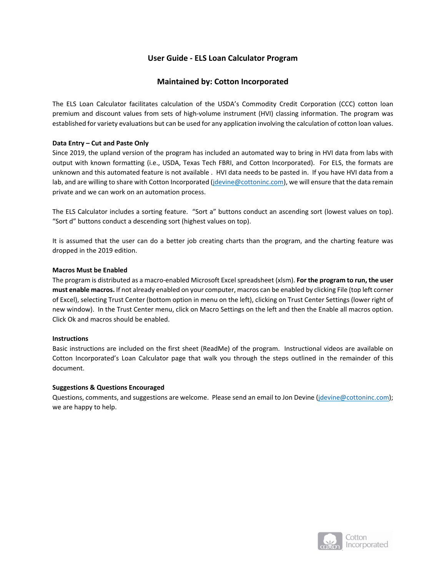# **User Guide ‐ ELS Loan Calculator Program**

## **Maintained by: Cotton Incorporated**

The ELS Loan Calculator facilitates calculation of the USDA's Commodity Credit Corporation (CCC) cotton loan premium and discount values from sets of high-volume instrument (HVI) classing information. The program was established for variety evaluations but can be used for any application involving the calculation of cotton loan values.

### **Data Entry – Cut and Paste Only**

Since 2019, the upland version of the program has included an automated way to bring in HVI data from labs with output with known formatting (i.e., USDA, Texas Tech FBRI, and Cotton Incorporated). For ELS, the formats are unknown and this automated feature is not available . HVI data needs to be pasted in. If you have HVI data from a lab, and are willing to share with Cotton Incorporated (jdevine@cottoninc.com), we will ensure that the data remain private and we can work on an automation process.

The ELS Calculator includes a sorting feature. "Sort a" buttons conduct an ascending sort (lowest values on top). "Sort d" buttons conduct a descending sort (highest values on top).

It is assumed that the user can do a better job creating charts than the program, and the charting feature was dropped in the 2019 edition.

### **Macros Must be Enabled**

The program is distributed as a macro‐enabled Microsoft Excel spreadsheet (xlsm). **For the program to run, the user must enable macros.** If not already enabled on your computer, macros can be enabled by clicking File (top left corner of Excel), selecting Trust Center (bottom option in menu on the left), clicking on Trust Center Settings (lower right of new window). In the Trust Center menu, click on Macro Settings on the left and then the Enable all macros option. Click Ok and macros should be enabled.

### **Instructions**

Basic instructions are included on the first sheet (ReadMe) of the program. Instructional videos are available on Cotton Incorporated's Loan Calculator page that walk you through the steps outlined in the remainder of this document.

### **Suggestions & Questions Encouraged**

Questions, comments, and suggestions are welcome. Please send an email to Jon Devine (jdevine@cottoninc.com); we are happy to help.